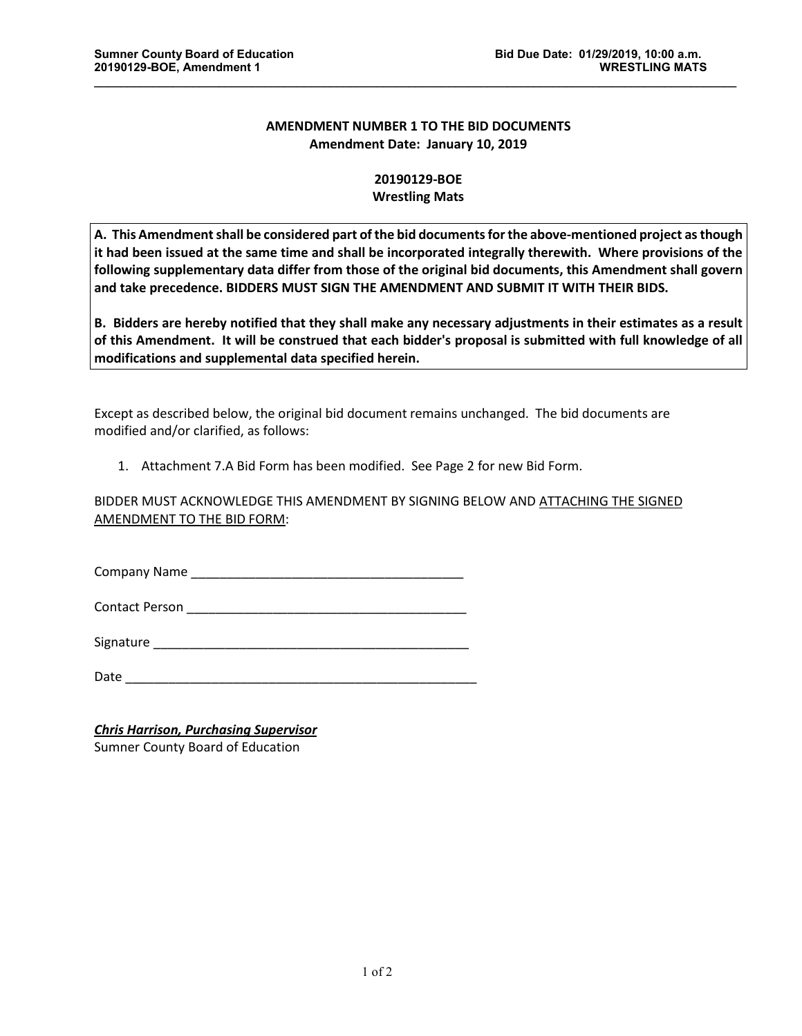## **AMENDMENT NUMBER 1 TO THE BID DOCUMENTS Amendment Date: January 10, 2019**

\_\_\_\_\_\_\_\_\_\_\_\_\_\_\_\_\_\_\_\_\_\_\_\_\_\_\_\_\_\_\_\_\_\_\_\_\_\_\_\_\_\_\_\_\_\_\_\_\_\_\_\_\_\_\_\_\_\_\_\_\_\_\_\_\_\_\_\_\_\_\_\_\_\_\_\_\_\_\_\_\_\_\_\_\_\_\_\_\_\_\_\_\_\_\_\_\_\_

## **20190129-BOE Wrestling Mats**

**A. This Amendment shall be considered part of the bid documents for the above-mentioned project as though it had been issued at the same time and shall be incorporated integrally therewith. Where provisions of the following supplementary data differ from those of the original bid documents, this Amendment shall govern and take precedence. BIDDERS MUST SIGN THE AMENDMENT AND SUBMIT IT WITH THEIR BIDS.**

**B. Bidders are hereby notified that they shall make any necessary adjustments in their estimates as a result of this Amendment. It will be construed that each bidder's proposal is submitted with full knowledge of all modifications and supplemental data specified herein.**

Except as described below, the original bid document remains unchanged. The bid documents are modified and/or clarified, as follows:

1. Attachment 7.A Bid Form has been modified. See Page 2 for new Bid Form.

BIDDER MUST ACKNOWLEDGE THIS AMENDMENT BY SIGNING BELOW AND ATTACHING THE SIGNED AMENDMENT TO THE BID FORM:

Company Name **company** Name

Contact Person \_\_\_\_\_\_\_\_\_\_\_\_\_\_\_\_\_\_\_\_\_\_\_\_\_\_\_\_\_\_\_\_\_\_\_\_\_\_\_

Signature \_\_\_\_\_\_\_\_\_\_\_\_\_\_\_\_\_\_\_\_\_\_\_\_\_\_\_\_\_\_\_\_\_\_\_\_\_\_\_\_\_\_\_\_

Date \_\_\_\_\_\_\_\_\_\_\_\_\_\_\_\_\_\_\_\_\_\_\_\_\_\_\_\_\_\_\_\_\_\_\_\_\_\_\_\_\_\_\_\_\_\_\_\_\_

*Chris Harrison, Purchasing Supervisor* Sumner County Board of Education